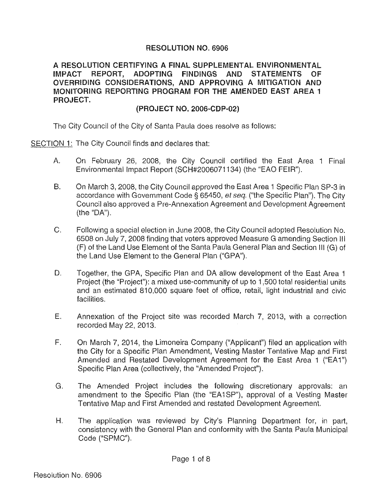## **RESOLUTION NO. 6906**

**A RESOLUTION CERTIFYING A FINAL SUPPLEMENTAL ENVIRONMENTAL IMPACT REPORT, ADOPTING FINDINGS AND STATEMENTS OF OVERRIDING CONSIDERATIONS, AND APPROVING A MITIGATION AND MONITORING REPORTING PROGRAM FOR THE AMENDED EAST AREA 1 PROJECT.** 

## **(PROJECT NO.** 2006~CDP 02)

The City Council of the City of Santa Paula does resolve as follows:

SECTION **1:** The City Council finds and declares that:

- A. On February 26, 2008, the City Council certified the East Area 1 Final Environmental Impact Report (SCH#2006071134) (the "EAO FEIR").
- B. On March 3, 2008, the City Council approved the East Area 1 Specific Plan SP-3 in accordance with Government Code § 65450, *et seq.* ("the Specific Plan"). The City Council also approved a Pre-Annexation Agreement and Development Agreement (the "DA").
- C. Following a special election in June 2008, the City Council adopted Resolution No. 6508 on July 7, 2008 finding that voters approved Measure G amending Section Ill (F) of the Land Use Element of the Santa Paula General Plan and Section Ill (G) of the Land Use Element to the General Plan ("GPA").
- D. Together, the GPA, Specific Plan and DA allow development of the East Area 1 Project (the "Project"): a mixed use-community of up to 1,500 total residential units and an estimated 810,000 square feet of office, retail, light industrial and civic facilities.
- E. Annexation of the Project site was recorded March 7, 2013, with a correction recorded May 22, 2013.
- F. On March 7, 2014, the Limoneira Company ("Applicant") filed an application with the City for a Specific Plan Amendment, Vesting Master Tentative Map and First Amended and Restated Development Agreement for the East Area 1 ("EA1") Specific Plan Area (collectively, the "Amended Project").
- G. The Amended Project includes the following discretionary approvals: an amendment to the Specific Plan (the "EA1SP"), approval of a Vesting Master Tentative Map and First Amended and restated Development Agreement.
- H. The application was reviewed by City's Planning Department for, in part, consistency with the General Plan and conformity with the Santa Paula Municipal Code ("SPMC").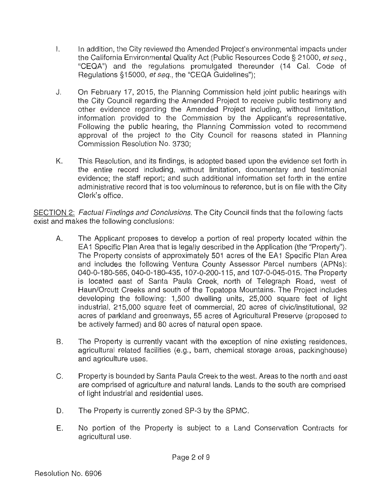- I. In addition, the City reviewed the Amended Project's environmental impacts under the California Environmental Quality Act (Public Resources Code§ 21000, et seq., "CEQA") and the regulations promulgated thereunder (14 Cal. Code of Regulations §15000, et seq., the "CEQA Guidelines");
- J. On February 17, 2015, the Planning Commission held joint public hearings with the City Council regarding the Amended Project to receive public testimony and other evidence regarding the Amended Project including, without limitation, information provided to the Commission by the Applicant's representative. Following the public hearing, the Planning Commission voted to recommend approval of the project to the City Council for reasons stated in Planning Commission Resolution No. 3730;
- K. This Resolution, and its findings, is adopted based upon the evidence set forth in the entire record including, without limitation, documentary and testimonial evidence; the staff report; and such additional information set forth in the entire administrative record that is too voluminous to reference, but is on file with the City Clerk's office.

SECTION 2: Factual Findings and Conclusions. The City Council finds that the following facts exist and makes the following conclusions:

- A. The Applicant proposes to develop a portion of real property located within the EA1 Specific Plan Area that is legally described in the Application (the "Property"). The Property consists of approximately 501 acres of the EA1 Specific Plan Area and includes the following Ventura County Assessor Parcel numbers (APNs): 040-0-180-565, 040-0-180-435, 107-0-200-115, and 107-0-045-015. The Property is located east of Santa Paula Creek, north of Telegraph Road, west of Haun/Orcutt Creeks and south of the Topatopa Mountains. The Project includes developing the following: 1,500 dwelling units, 25,000 square feet of light industrial, 215,000 square feet of commercial, 20 acres of civic/institutional, 92 acres of parkland and greenways, 55 acres of Agricultural Preserve (proposed to be actively farmed) and 80 acres of natural open space.
- B. The Property is currently vacant with the exception of nine existing residences, agricultural related facilities (e.g., barn, chemical storage areas, packinghouse) and agriculture uses.
- C. Property is bounded by Santa Paula Creek to the west. Areas to the north and east are comprised of agriculture and natural lands. Lands to the south are comprised of light industrial and residential uses.
- D. The Property is currently zoned SP-3 by the SPMC.
- E. No portion of the Property is subject to a Land Conservation Contracts for agricultural use.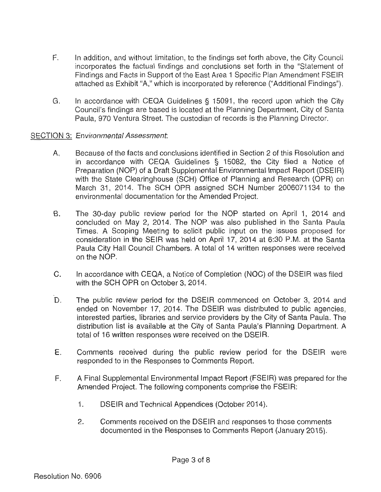- F. In addition, and without limitation, to the findings set forth above, the City Council incorporates the factual findings and conclusions set forth in the "Statement of Findings and Facts in Support of the East Area 1 Specific Plan Amendment FSEIR attached as Exhibit "A," which is incorporated by reference ("Additional Findings").
- G. In accordance with CEQA Guidelines § 15091, the record upon which the City Council's findings are based is located at the Planning Department, City of Santa Paula, 970 Ventura Street. The custodian of records is the Planning Director.
- SECTION 3: Environmental Assessment.
	- A. Because of the facts and conclusions identified in Section 2 of this Resolution and in accordance with CEQA Guidelines § 15082, the City filed a Notice of Preparation (NOP) of a Draft Supplemental Environmental Impact Report (DSEIR) with the State Clearinghouse (SCH) Office of Planning and Research (OPR) on March 31, 2014. The SCH OPR assigned SCH Number 2006071134 to the environmental documentation for the Amended Project.
	- 8. The 30-day public review period for the NOP started on April 1, 2014 and concluded on May 2, 2014. The NOP was also published in the Santa Paula Times. A Scoping Meeting to solicit public input on the issues proposed for consideration in the SEIR was held on April 17, 2014 at 6:30 P.M. at the Santa Paula City Hall Council Chambers. A total of 14 written responses were received on the NOP.
	- C. In accordance with CEQA, a Notice of Completion (NOC) of the DSEIR was filed with the SCH OPR on October 3, 2014.
	- D. The public review period for the DSEIR commenced on October 3, 2014 and ended on November 17, 2014. The DSEIR was distributed to public agencies, interested parties, libraries and service providers by the City of Santa Paula. The distribution list is available at the City of Santa Paula's Planning Department. A total of 16 written responses were received on the DSEIR.
	- E. Comments received during the public review period for the DSEIR were responded to in the Responses to Comments Report.
	- F. A Final Supplemental Environmental Impact Report (FSEIR) was prepared for the Amended Project. The following components comprise the FSEIR:
		- 1. DSEIR and Technical Appendices (October 2014).
		- 2. Comments received on the OSEIR and responses to those comments documented in the Responses to Comments Report (January 2015).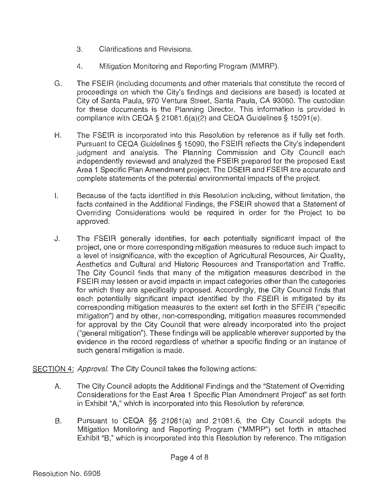- 3. Clarifications and Revisions.
- 4. Mitigation Monitoring and Reporting Program (MMRP).
- G. The FSEIR (including documents and other materials that constitute the record of proceedings on which the City's findings and decisions are based) is located at City of Santa Paula, 970 Ventura Street, Santa Paula, CA 93060. The custodian for these documents is the Planning Director. This information is provided in compliance with CEQA § 21081.6(a)(2) and CEQA Guidelines§ 15091(e).
- H. The FSEIR is incorporated into this Resolution by reference as if fully set forth. Pursuant to CEQA Guidelines§ 15090, the FSEIR reflects the City's independent judgment and analysis. The Planning Commission and City Council each independently reviewed and analyzed the FSEIR prepared for the proposed East Area 1 Specific Plan Amendment project. The OSEIR and FSEIR are accurate and complete statements of the potential environmental impacts of 1he project.
- I. Because of the facts identified in this Resolution including, without limitation, the facts contained in the Additional Findings, the FSEIR showed that a Statement of Overriding Considerations would be required in order for the Project to be approved.
- J. The FSEIR generally identifies, for each potentially significant impact of the project, one or more corresponding mitigation measures to reduce such impact to a level of insignificance, with the exception of Agricultural Resources, Air Quality, Aesthetics and Cultural and Historic Resources and Transportation and Traffic. The City Council finds that many of the mitigation measures described in the FSEIR may lessen or avoid impacts in impact categories other than the categories for which they are specifically proposed. Accordingly, the City Council finds that each potentially significant impact identified by the FSEIR is mitigated by its corresponding mitigation measures to the extent set forth in 1he SFElR ("specific mitigation") and by other, non-corresponding, mitigation measures recommended for approval by the City Council that were already incorporated into the project ("general mitigation"). These findings will be applicable wherever supported by the evidence in the record regardless of whether a specific finding or an instance of such general mitigation is made.

SECTION 4: Approval. The City Council takes the following actions:

- A. The City Council adopts the Additional Findings and the "Statement of Overriding Considerations for the East Area 1 Specific Plan Amendment Project" as set forth in Exhibit "A," which is incorporated into this Resolution by reference.
- B. Pursuant to CEQA §§ 21081 (a) and 21081.6, the City Council adopts the Mitigation Monitoring and Reporting Program ("MMRP") set forth in attached Exhibit "B," which is incorporated into this Resolution by reference. The mitigation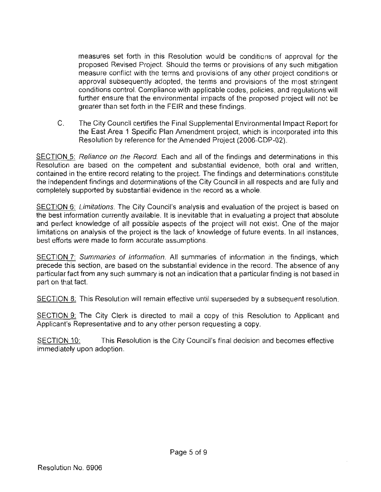measures set forth in this Resolution would be conditions of approval for the proposed Revised Project. Should the terms or provisions of any such mitigation measure conflict with the terms and provisions of any other project conditions or approval subsequently adopted, the terms and provisions of the most stringent conditions control. Compliance with applicable codes, policies, and regulations will further ensure that the environmental impacts of the proposed project will not be greater than set forth in the FEIR and these findings.

C. The City Council certifies the Final Supplemental Environmental Impact Report for the East Area 1 Specific Plan Amendment project, which is incorporated into this Resolution by reference for the Amended Project (2006-CDP-02).

SECTION 5: Reliance on the Record. Each and all of the findings and determinations in this Resolution are based on the competent and substantial evidence, both oral and written. contained in the entire record relating to the project. The findings and determinations constitute the independent findings and determinations of the City Council in all respects and are fully and completely supported by substantial evidence in the record as a whole.

SECTION 6: Limitations. The City Council's analysis and evaluation of the project is based on the best information currently available. It is inevitable that in evaluating a project that absolute and perfect knowledge of all possible aspects of the project will not exist. One of the major limitations on analysis of the project is the lack of knowledge of future events. In all instances, best efforts were made to form accurate assumptions.

SECTION 7: Summaries of Information. All summaries of information in the findings, which precede this section, are based on the substantial evidence in the record. The absence of any particular fact from any such summary is not an indication that a particular finding is not based in part on that fact.

SECTION 8: This Resolution will remain effective until superseded by a subsequent resolution.

SECTION 9: The City Clerk is directed to mail a copy of this Resolution to Applicant and Applicant's Representative and to any other person requesting a copy.

SECTION 10: This Resolution is the City Council's final decision and becomes effective immediately upon adoption.